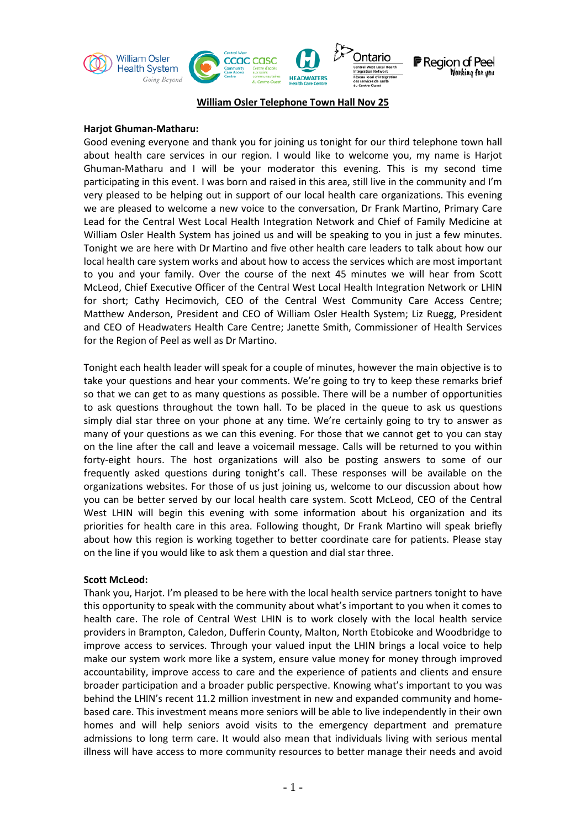

# **William Osler Telephone Town Hall Nov 25**

#### **Harjot Ghuman-Matharu:**

Good evening everyone and thank you for joining us tonight for our third telephone town hall about health care services in our region. I would like to welcome you, my name is Harjot Ghuman-Matharu and I will be your moderator this evening. This is my second time participating in this event. I was born and raised in this area, still live in the community and I'm very pleased to be helping out in support of our local health care organizations. This evening we are pleased to welcome a new voice to the conversation, Dr Frank Martino, Primary Care Lead for the Central West Local Health Integration Network and Chief of Family Medicine at William Osler Health System has joined us and will be speaking to you in just a few minutes. Tonight we are here with Dr Martino and five other health care leaders to talk about how our local health care system works and about how to access the services which are most important to you and your family. Over the course of the next 45 minutes we will hear from Scott McLeod, Chief Executive Officer of the Central West Local Health Integration Network or LHIN for short; Cathy Hecimovich, CEO of the Central West Community Care Access Centre; Matthew Anderson, President and CEO of William Osler Health System; Liz Ruegg, President and CEO of Headwaters Health Care Centre; Janette Smith, Commissioner of Health Services for the Region of Peel as well as Dr Martino.

Tonight each health leader will speak for a couple of minutes, however the main objective is to take your questions and hear your comments. We're going to try to keep these remarks brief so that we can get to as many questions as possible. There will be a number of opportunities to ask questions throughout the town hall. To be placed in the queue to ask us questions simply dial star three on your phone at any time. We're certainly going to try to answer as many of your questions as we can this evening. For those that we cannot get to you can stay on the line after the call and leave a voicemail message. Calls will be returned to you within forty-eight hours. The host organizations will also be posting answers to some of our frequently asked questions during tonight's call. These responses will be available on the organizations websites. For those of us just joining us, welcome to our discussion about how you can be better served by our local health care system. Scott McLeod, CEO of the Central West LHIN will begin this evening with some information about his organization and its priorities for health care in this area. Following thought, Dr Frank Martino will speak briefly about how this region is working together to better coordinate care for patients. Please stay on the line if you would like to ask them a question and dial star three.

#### **Scott McLeod:**

Thank you, Harjot. I'm pleased to be here with the local health service partners tonight to have this opportunity to speak with the community about what's important to you when it comes to health care. The role of Central West LHIN is to work closely with the local health service providers in Brampton, Caledon, Dufferin County, Malton, North Etobicoke and Woodbridge to improve access to services. Through your valued input the LHIN brings a local voice to help make our system work more like a system, ensure value money for money through improved accountability, improve access to care and the experience of patients and clients and ensure broader participation and a broader public perspective. Knowing what's important to you was behind the LHIN's recent 11.2 million investment in new and expanded community and homebased care. This investment means more seniors will be able to live independently in their own homes and will help seniors avoid visits to the emergency department and premature admissions to long term care. It would also mean that individuals living with serious mental illness will have access to more community resources to better manage their needs and avoid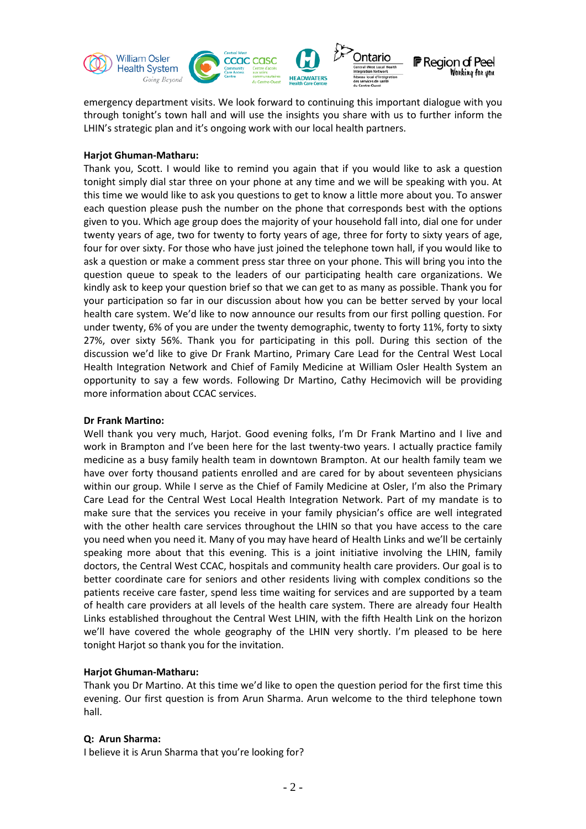

emergency department visits. We look forward to continuing this important dialogue with you through tonight's town hall and will use the insights you share with us to further inform the LHIN's strategic plan and it's ongoing work with our local health partners.

### **Harjot Ghuman-Matharu:**

Thank you, Scott. I would like to remind you again that if you would like to ask a question tonight simply dial star three on your phone at any time and we will be speaking with you. At this time we would like to ask you questions to get to know a little more about you. To answer each question please push the number on the phone that corresponds best with the options given to you. Which age group does the majority of your household fall into, dial one for under twenty years of age, two for twenty to forty years of age, three for forty to sixty years of age, four for over sixty. For those who have just joined the telephone town hall, if you would like to ask a question or make a comment press star three on your phone. This will bring you into the question queue to speak to the leaders of our participating health care organizations. We kindly ask to keep your question brief so that we can get to as many as possible. Thank you for your participation so far in our discussion about how you can be better served by your local health care system. We'd like to now announce our results from our first polling question. For under twenty, 6% of you are under the twenty demographic, twenty to forty 11%, forty to sixty 27%, over sixty 56%. Thank you for participating in this poll. During this section of the discussion we'd like to give Dr Frank Martino, Primary Care Lead for the Central West Local Health Integration Network and Chief of Family Medicine at William Osler Health System an opportunity to say a few words. Following Dr Martino, Cathy Hecimovich will be providing more information about CCAC services.

## **Dr Frank Martino:**

Well thank you very much, Harjot. Good evening folks, I'm Dr Frank Martino and I live and work in Brampton and I've been here for the last twenty-two years. I actually practice family medicine as a busy family health team in downtown Brampton. At our health family team we have over forty thousand patients enrolled and are cared for by about seventeen physicians within our group. While I serve as the Chief of Family Medicine at Osler, I'm also the Primary Care Lead for the Central West Local Health Integration Network. Part of my mandate is to make sure that the services you receive in your family physician's office are well integrated with the other health care services throughout the LHIN so that you have access to the care you need when you need it. Many of you may have heard of Health Links and we'll be certainly speaking more about that this evening. This is a joint initiative involving the LHIN, family doctors, the Central West CCAC, hospitals and community health care providers. Our goal is to better coordinate care for seniors and other residents living with complex conditions so the patients receive care faster, spend less time waiting for services and are supported by a team of health care providers at all levels of the health care system. There are already four Health Links established throughout the Central West LHIN, with the fifth Health Link on the horizon we'll have covered the whole geography of the LHIN very shortly. I'm pleased to be here tonight Harjot so thank you for the invitation.

# **Harjot Ghuman-Matharu:**

Thank you Dr Martino. At this time we'd like to open the question period for the first time this evening. Our first question is from Arun Sharma. Arun welcome to the third telephone town hall.

# **Q: Arun Sharma:**

I believe it is Arun Sharma that you're looking for?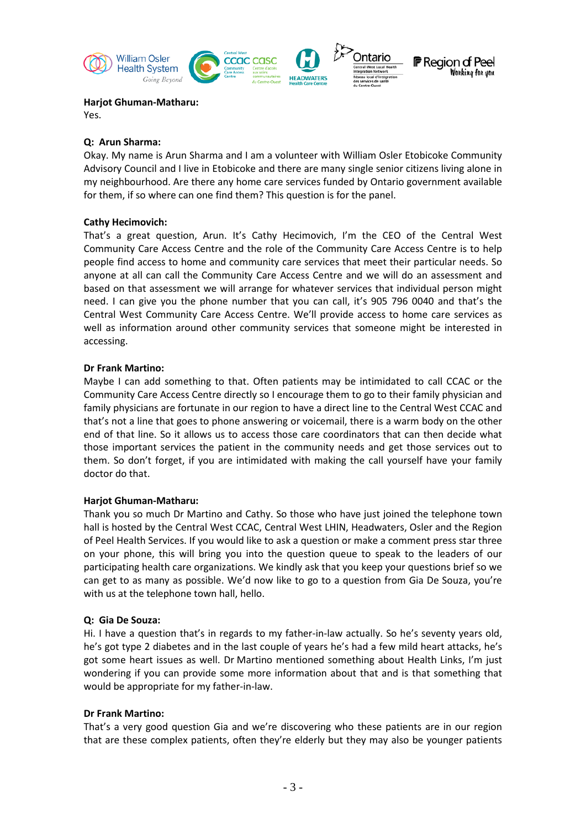

Yes.

### **Q: Arun Sharma:**

Okay. My name is Arun Sharma and I am a volunteer with William Osler Etobicoke Community Advisory Council and I live in Etobicoke and there are many single senior citizens living alone in my neighbourhood. Are there any home care services funded by Ontario government available for them, if so where can one find them? This question is for the panel.

## **Cathy Hecimovich:**

That's a great question, Arun. It's Cathy Hecimovich, I'm the CEO of the Central West Community Care Access Centre and the role of the Community Care Access Centre is to help people find access to home and community care services that meet their particular needs. So anyone at all can call the Community Care Access Centre and we will do an assessment and based on that assessment we will arrange for whatever services that individual person might need. I can give you the phone number that you can call, it's 905 796 0040 and that's the Central West Community Care Access Centre. We'll provide access to home care services as well as information around other community services that someone might be interested in accessing.

## **Dr Frank Martino:**

Maybe I can add something to that. Often patients may be intimidated to call CCAC or the Community Care Access Centre directly so I encourage them to go to their family physician and family physicians are fortunate in our region to have a direct line to the Central West CCAC and that's not a line that goes to phone answering or voicemail, there is a warm body on the other end of that line. So it allows us to access those care coordinators that can then decide what those important services the patient in the community needs and get those services out to them. So don't forget, if you are intimidated with making the call yourself have your family doctor do that.

### **Harjot Ghuman-Matharu:**

Thank you so much Dr Martino and Cathy. So those who have just joined the telephone town hall is hosted by the Central West CCAC, Central West LHIN, Headwaters, Osler and the Region of Peel Health Services. If you would like to ask a question or make a comment press star three on your phone, this will bring you into the question queue to speak to the leaders of our participating health care organizations. We kindly ask that you keep your questions brief so we can get to as many as possible. We'd now like to go to a question from Gia De Souza, you're with us at the telephone town hall, hello.

### **Q: Gia De Souza:**

Hi. I have a question that's in regards to my father-in-law actually. So he's seventy years old, he's got type 2 diabetes and in the last couple of years he's had a few mild heart attacks, he's got some heart issues as well. Dr Martino mentioned something about Health Links, I'm just wondering if you can provide some more information about that and is that something that would be appropriate for my father-in-law.

### **Dr Frank Martino:**

That's a very good question Gia and we're discovering who these patients are in our region that are these complex patients, often they're elderly but they may also be younger patients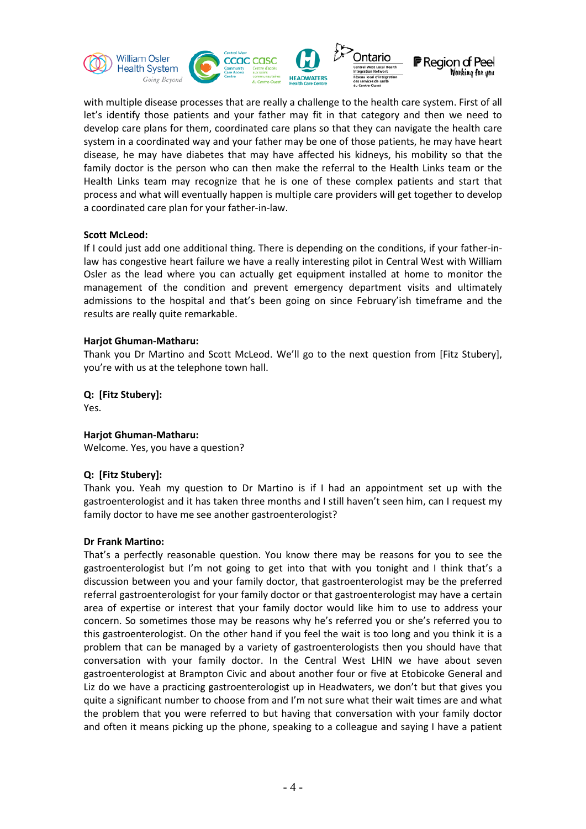

with multiple disease processes that are really a challenge to the health care system. First of all let's identify those patients and your father may fit in that category and then we need to develop care plans for them, coordinated care plans so that they can navigate the health care system in a coordinated way and your father may be one of those patients, he may have heart disease, he may have diabetes that may have affected his kidneys, his mobility so that the family doctor is the person who can then make the referral to the Health Links team or the Health Links team may recognize that he is one of these complex patients and start that process and what will eventually happen is multiple care providers will get together to develop a coordinated care plan for your father-in-law.

### **Scott McLeod:**

If I could just add one additional thing. There is depending on the conditions, if your father-inlaw has congestive heart failure we have a really interesting pilot in Central West with William Osler as the lead where you can actually get equipment installed at home to monitor the management of the condition and prevent emergency department visits and ultimately admissions to the hospital and that's been going on since February'ish timeframe and the results are really quite remarkable.

### **Harjot Ghuman-Matharu:**

Thank you Dr Martino and Scott McLeod. We'll go to the next question from [Fitz Stubery], you're with us at the telephone town hall.

# **Q: [Fitz Stubery]:**

Yes.

### **Harjot Ghuman-Matharu:**

Welcome. Yes, you have a question?

# **Q: [Fitz Stubery]:**

Thank you. Yeah my question to Dr Martino is if I had an appointment set up with the gastroenterologist and it has taken three months and I still haven't seen him, can I request my family doctor to have me see another gastroenterologist?

### **Dr Frank Martino:**

That's a perfectly reasonable question. You know there may be reasons for you to see the gastroenterologist but I'm not going to get into that with you tonight and I think that's a discussion between you and your family doctor, that gastroenterologist may be the preferred referral gastroenterologist for your family doctor or that gastroenterologist may have a certain area of expertise or interest that your family doctor would like him to use to address your concern. So sometimes those may be reasons why he's referred you or she's referred you to this gastroenterologist. On the other hand if you feel the wait is too long and you think it is a problem that can be managed by a variety of gastroenterologists then you should have that conversation with your family doctor. In the Central West LHIN we have about seven gastroenterologist at Brampton Civic and about another four or five at Etobicoke General and Liz do we have a practicing gastroenterologist up in Headwaters, we don't but that gives you quite a significant number to choose from and I'm not sure what their wait times are and what the problem that you were referred to but having that conversation with your family doctor and often it means picking up the phone, speaking to a colleague and saying I have a patient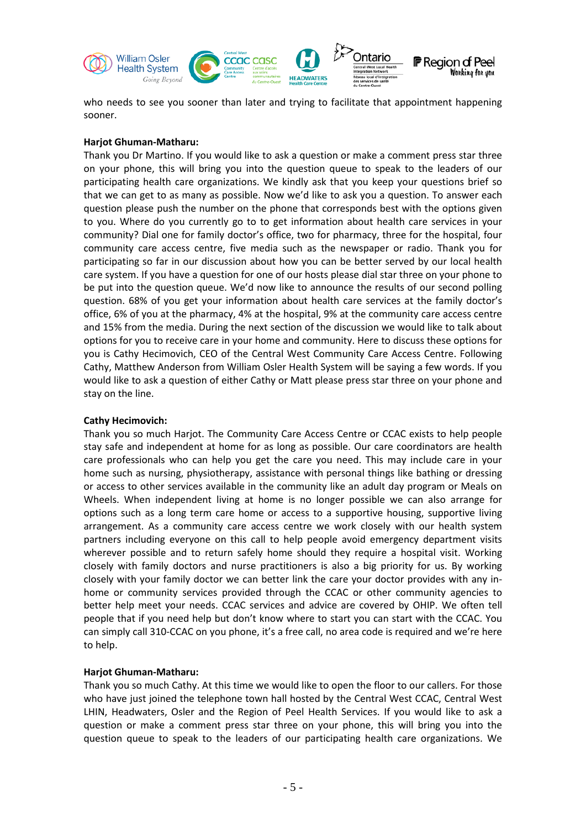

who needs to see you sooner than later and trying to facilitate that appointment happening sooner.

### **Harjot Ghuman-Matharu:**

Thank you Dr Martino. If you would like to ask a question or make a comment press star three on your phone, this will bring you into the question queue to speak to the leaders of our participating health care organizations. We kindly ask that you keep your questions brief so that we can get to as many as possible. Now we'd like to ask you a question. To answer each question please push the number on the phone that corresponds best with the options given to you. Where do you currently go to to get information about health care services in your community? Dial one for family doctor's office, two for pharmacy, three for the hospital, four community care access centre, five media such as the newspaper or radio. Thank you for participating so far in our discussion about how you can be better served by our local health care system. If you have a question for one of our hosts please dial star three on your phone to be put into the question queue. We'd now like to announce the results of our second polling question. 68% of you get your information about health care services at the family doctor's office, 6% of you at the pharmacy, 4% at the hospital, 9% at the community care access centre and 15% from the media. During the next section of the discussion we would like to talk about options for you to receive care in your home and community. Here to discuss these options for you is Cathy Hecimovich, CEO of the Central West Community Care Access Centre. Following Cathy, Matthew Anderson from William Osler Health System will be saying a few words. If you would like to ask a question of either Cathy or Matt please press star three on your phone and stay on the line.

# **Cathy Hecimovich:**

Thank you so much Harjot. The Community Care Access Centre or CCAC exists to help people stay safe and independent at home for as long as possible. Our care coordinators are health care professionals who can help you get the care you need. This may include care in your home such as nursing, physiotherapy, assistance with personal things like bathing or dressing or access to other services available in the community like an adult day program or Meals on Wheels. When independent living at home is no longer possible we can also arrange for options such as a long term care home or access to a supportive housing, supportive living arrangement. As a community care access centre we work closely with our health system partners including everyone on this call to help people avoid emergency department visits wherever possible and to return safely home should they require a hospital visit. Working closely with family doctors and nurse practitioners is also a big priority for us. By working closely with your family doctor we can better link the care your doctor provides with any inhome or community services provided through the CCAC or other community agencies to better help meet your needs. CCAC services and advice are covered by OHIP. We often tell people that if you need help but don't know where to start you can start with the CCAC. You can simply call 310-CCAC on you phone, it's a free call, no area code is required and we're here to help.

# **Harjot Ghuman-Matharu:**

Thank you so much Cathy. At this time we would like to open the floor to our callers. For those who have just joined the telephone town hall hosted by the Central West CCAC, Central West LHIN, Headwaters, Osler and the Region of Peel Health Services. If you would like to ask a question or make a comment press star three on your phone, this will bring you into the question queue to speak to the leaders of our participating health care organizations. We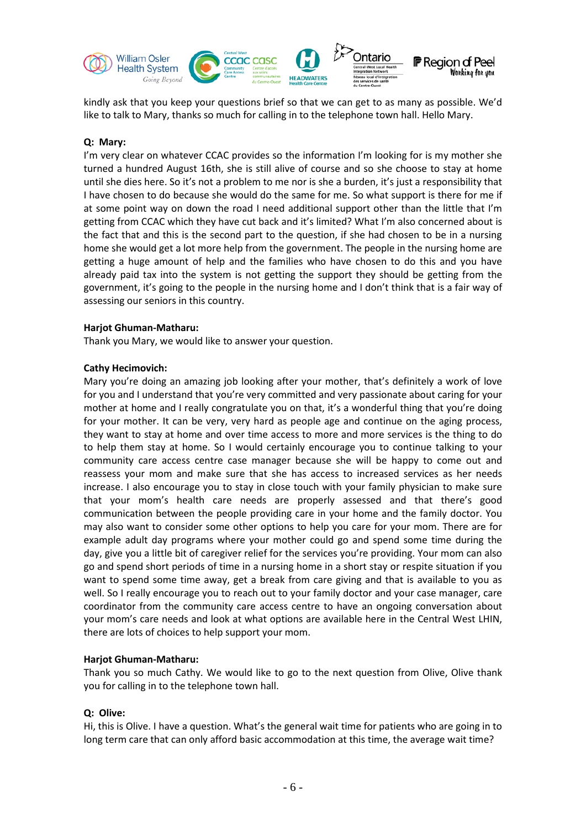

kindly ask that you keep your questions brief so that we can get to as many as possible. We'd like to talk to Mary, thanks so much for calling in to the telephone town hall. Hello Mary.

## **Q: Mary:**

I'm very clear on whatever CCAC provides so the information I'm looking for is my mother she turned a hundred August 16th, she is still alive of course and so she choose to stay at home until she dies here. So it's not a problem to me nor is she a burden, it's just a responsibility that I have chosen to do because she would do the same for me. So what support is there for me if at some point way on down the road I need additional support other than the little that I'm getting from CCAC which they have cut back and it's limited? What I'm also concerned about is the fact that and this is the second part to the question, if she had chosen to be in a nursing home she would get a lot more help from the government. The people in the nursing home are getting a huge amount of help and the families who have chosen to do this and you have already paid tax into the system is not getting the support they should be getting from the government, it's going to the people in the nursing home and I don't think that is a fair way of assessing our seniors in this country.

### **Harjot Ghuman-Matharu:**

Thank you Mary, we would like to answer your question.

## **Cathy Hecimovich:**

Mary you're doing an amazing job looking after your mother, that's definitely a work of love for you and I understand that you're very committed and very passionate about caring for your mother at home and I really congratulate you on that, it's a wonderful thing that you're doing for your mother. It can be very, very hard as people age and continue on the aging process, they want to stay at home and over time access to more and more services is the thing to do to help them stay at home. So I would certainly encourage you to continue talking to your community care access centre case manager because she will be happy to come out and reassess your mom and make sure that she has access to increased services as her needs increase. I also encourage you to stay in close touch with your family physician to make sure that your mom's health care needs are properly assessed and that there's good communication between the people providing care in your home and the family doctor. You may also want to consider some other options to help you care for your mom. There are for example adult day programs where your mother could go and spend some time during the day, give you a little bit of caregiver relief for the services you're providing. Your mom can also go and spend short periods of time in a nursing home in a short stay or respite situation if you want to spend some time away, get a break from care giving and that is available to you as well. So I really encourage you to reach out to your family doctor and your case manager, care coordinator from the community care access centre to have an ongoing conversation about your mom's care needs and look at what options are available here in the Central West LHIN, there are lots of choices to help support your mom.

# **Harjot Ghuman-Matharu:**

Thank you so much Cathy. We would like to go to the next question from Olive, Olive thank you for calling in to the telephone town hall.

# **Q: Olive:**

Hi, this is Olive. I have a question. What's the general wait time for patients who are going in to long term care that can only afford basic accommodation at this time, the average wait time?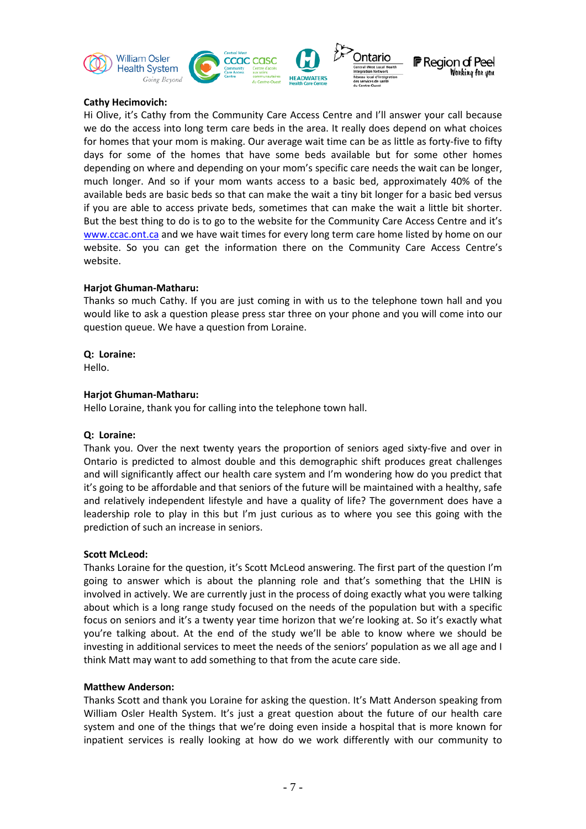

## **Cathy Hecimovich:**

Hi Olive, it's Cathy from the Community Care Access Centre and I'll answer your call because we do the access into long term care beds in the area. It really does depend on what choices for homes that your mom is making. Our average wait time can be as little as forty-five to fifty days for some of the homes that have some beds available but for some other homes depending on where and depending on your mom's specific care needs the wait can be longer, much longer. And so if your mom wants access to a basic bed, approximately 40% of the available beds are basic beds so that can make the wait a tiny bit longer for a basic bed versus if you are able to access private beds, sometimes that can make the wait a little bit shorter. But the best thing to do is to go to the website for the Community Care Access Centre and it's [www.ccac.ont.ca](http://www.ccac.on.ca/) and we have wait times for every long term care home listed by home on our website. So you can get the information there on the Community Care Access Centre's website.

## **Harjot Ghuman-Matharu:**

Thanks so much Cathy. If you are just coming in with us to the telephone town hall and you would like to ask a question please press star three on your phone and you will come into our question queue. We have a question from Loraine.

### **Q: Loraine:**

Hello.

### **Harjot Ghuman-Matharu:**

Hello Loraine, thank you for calling into the telephone town hall.

### **Q: Loraine:**

Thank you. Over the next twenty years the proportion of seniors aged sixty-five and over in Ontario is predicted to almost double and this demographic shift produces great challenges and will significantly affect our health care system and I'm wondering how do you predict that it's going to be affordable and that seniors of the future will be maintained with a healthy, safe and relatively independent lifestyle and have a quality of life? The government does have a leadership role to play in this but I'm just curious as to where you see this going with the prediction of such an increase in seniors.

### **Scott McLeod:**

Thanks Loraine for the question, it's Scott McLeod answering. The first part of the question I'm going to answer which is about the planning role and that's something that the LHIN is involved in actively. We are currently just in the process of doing exactly what you were talking about which is a long range study focused on the needs of the population but with a specific focus on seniors and it's a twenty year time horizon that we're looking at. So it's exactly what you're talking about. At the end of the study we'll be able to know where we should be investing in additional services to meet the needs of the seniors' population as we all age and I think Matt may want to add something to that from the acute care side.

### **Matthew Anderson:**

Thanks Scott and thank you Loraine for asking the question. It's Matt Anderson speaking from William Osler Health System. It's just a great question about the future of our health care system and one of the things that we're doing even inside a hospital that is more known for inpatient services is really looking at how do we work differently with our community to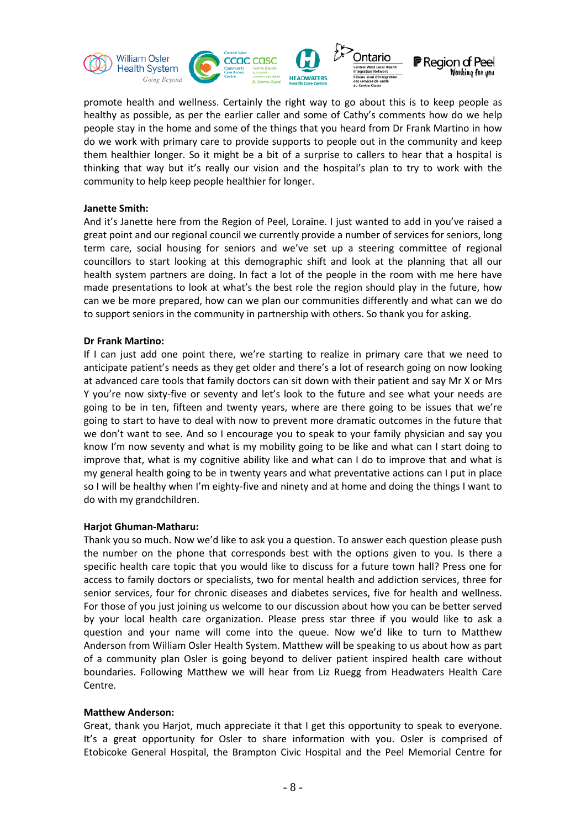

promote health and wellness. Certainly the right way to go about this is to keep people as healthy as possible, as per the earlier caller and some of Cathy's comments how do we help people stay in the home and some of the things that you heard from Dr Frank Martino in how do we work with primary care to provide supports to people out in the community and keep them healthier longer. So it might be a bit of a surprise to callers to hear that a hospital is thinking that way but it's really our vision and the hospital's plan to try to work with the community to help keep people healthier for longer.

## **Janette Smith:**

And it's Janette here from the Region of Peel, Loraine. I just wanted to add in you've raised a great point and our regional council we currently provide a number of services for seniors, long term care, social housing for seniors and we've set up a steering committee of regional councillors to start looking at this demographic shift and look at the planning that all our health system partners are doing. In fact a lot of the people in the room with me here have made presentations to look at what's the best role the region should play in the future, how can we be more prepared, how can we plan our communities differently and what can we do to support seniors in the community in partnership with others. So thank you for asking.

## **Dr Frank Martino:**

If I can just add one point there, we're starting to realize in primary care that we need to anticipate patient's needs as they get older and there's a lot of research going on now looking at advanced care tools that family doctors can sit down with their patient and say Mr X or Mrs Y you're now sixty-five or seventy and let's look to the future and see what your needs are going to be in ten, fifteen and twenty years, where are there going to be issues that we're going to start to have to deal with now to prevent more dramatic outcomes in the future that we don't want to see. And so I encourage you to speak to your family physician and say you know I'm now seventy and what is my mobility going to be like and what can I start doing to improve that, what is my cognitive ability like and what can I do to improve that and what is my general health going to be in twenty years and what preventative actions can I put in place so I will be healthy when I'm eighty-five and ninety and at home and doing the things I want to do with my grandchildren.

# **Harjot Ghuman-Matharu:**

Thank you so much. Now we'd like to ask you a question. To answer each question please push the number on the phone that corresponds best with the options given to you. Is there a specific health care topic that you would like to discuss for a future town hall? Press one for access to family doctors or specialists, two for mental health and addiction services, three for senior services, four for chronic diseases and diabetes services, five for health and wellness. For those of you just joining us welcome to our discussion about how you can be better served by your local health care organization. Please press star three if you would like to ask a question and your name will come into the queue. Now we'd like to turn to Matthew Anderson from William Osler Health System. Matthew will be speaking to us about how as part of a community plan Osler is going beyond to deliver patient inspired health care without boundaries. Following Matthew we will hear from Liz Ruegg from Headwaters Health Care Centre.

### **Matthew Anderson:**

Great, thank you Harjot, much appreciate it that I get this opportunity to speak to everyone. It's a great opportunity for Osler to share information with you. Osler is comprised of Etobicoke General Hospital, the Brampton Civic Hospital and the Peel Memorial Centre for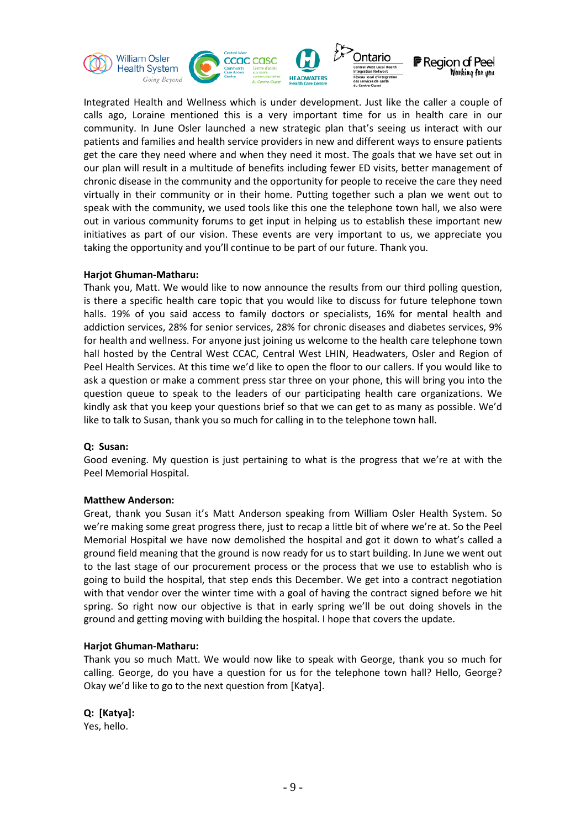

Integrated Health and Wellness which is under development. Just like the caller a couple of calls ago, Loraine mentioned this is a very important time for us in health care in our community. In June Osler launched a new strategic plan that's seeing us interact with our patients and families and health service providers in new and different ways to ensure patients get the care they need where and when they need it most. The goals that we have set out in our plan will result in a multitude of benefits including fewer ED visits, better management of chronic disease in the community and the opportunity for people to receive the care they need virtually in their community or in their home. Putting together such a plan we went out to speak with the community, we used tools like this one the telephone town hall, we also were out in various community forums to get input in helping us to establish these important new initiatives as part of our vision. These events are very important to us, we appreciate you taking the opportunity and you'll continue to be part of our future. Thank you.

#### **Harjot Ghuman-Matharu:**

Thank you, Matt. We would like to now announce the results from our third polling question, is there a specific health care topic that you would like to discuss for future telephone town halls. 19% of you said access to family doctors or specialists, 16% for mental health and addiction services, 28% for senior services, 28% for chronic diseases and diabetes services, 9% for health and wellness. For anyone just joining us welcome to the health care telephone town hall hosted by the Central West CCAC, Central West LHIN, Headwaters, Osler and Region of Peel Health Services. At this time we'd like to open the floor to our callers. If you would like to ask a question or make a comment press star three on your phone, this will bring you into the question queue to speak to the leaders of our participating health care organizations. We kindly ask that you keep your questions brief so that we can get to as many as possible. We'd like to talk to Susan, thank you so much for calling in to the telephone town hall.

### **Q: Susan:**

Good evening. My question is just pertaining to what is the progress that we're at with the Peel Memorial Hospital.

### **Matthew Anderson:**

Great, thank you Susan it's Matt Anderson speaking from William Osler Health System. So we're making some great progress there, just to recap a little bit of where we're at. So the Peel Memorial Hospital we have now demolished the hospital and got it down to what's called a ground field meaning that the ground is now ready for us to start building. In June we went out to the last stage of our procurement process or the process that we use to establish who is going to build the hospital, that step ends this December. We get into a contract negotiation with that vendor over the winter time with a goal of having the contract signed before we hit spring. So right now our objective is that in early spring we'll be out doing shovels in the ground and getting moving with building the hospital. I hope that covers the update.

### **Harjot Ghuman-Matharu:**

Thank you so much Matt. We would now like to speak with George, thank you so much for calling. George, do you have a question for us for the telephone town hall? Hello, George? Okay we'd like to go to the next question from [Katya].

### **Q: [Katya]:**

Yes, hello.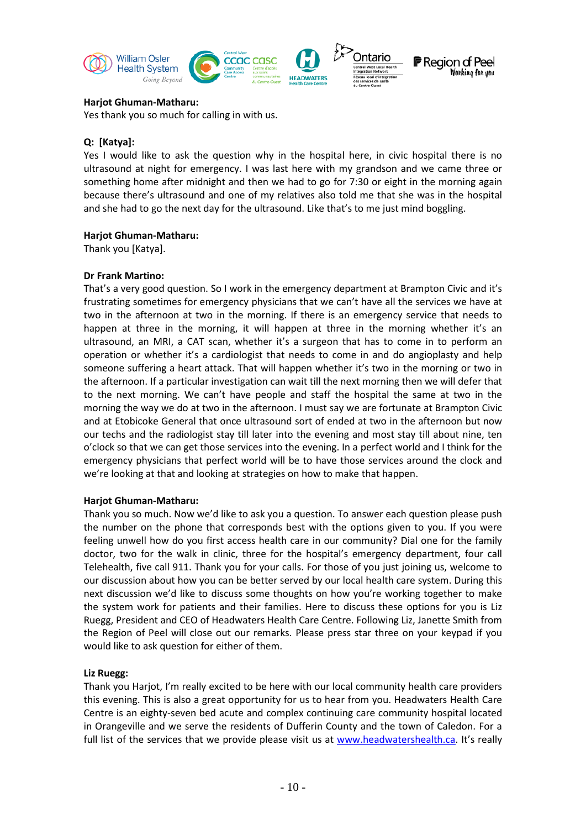

Yes thank you so much for calling in with us.

## **Q: [Katya]:**

Yes I would like to ask the question why in the hospital here, in civic hospital there is no ultrasound at night for emergency. I was last here with my grandson and we came three or something home after midnight and then we had to go for 7:30 or eight in the morning again because there's ultrasound and one of my relatives also told me that she was in the hospital and she had to go the next day for the ultrasound. Like that's to me just mind boggling.

### **Harjot Ghuman-Matharu:**

Thank you [Katya].

## **Dr Frank Martino:**

That's a very good question. So I work in the emergency department at Brampton Civic and it's frustrating sometimes for emergency physicians that we can't have all the services we have at two in the afternoon at two in the morning. If there is an emergency service that needs to happen at three in the morning, it will happen at three in the morning whether it's an ultrasound, an MRI, a CAT scan, whether it's a surgeon that has to come in to perform an operation or whether it's a cardiologist that needs to come in and do angioplasty and help someone suffering a heart attack. That will happen whether it's two in the morning or two in the afternoon. If a particular investigation can wait till the next morning then we will defer that to the next morning. We can't have people and staff the hospital the same at two in the morning the way we do at two in the afternoon. I must say we are fortunate at Brampton Civic and at Etobicoke General that once ultrasound sort of ended at two in the afternoon but now our techs and the radiologist stay till later into the evening and most stay till about nine, ten o'clock so that we can get those services into the evening. In a perfect world and I think for the emergency physicians that perfect world will be to have those services around the clock and we're looking at that and looking at strategies on how to make that happen.

### **Harjot Ghuman-Matharu:**

Thank you so much. Now we'd like to ask you a question. To answer each question please push the number on the phone that corresponds best with the options given to you. If you were feeling unwell how do you first access health care in our community? Dial one for the family doctor, two for the walk in clinic, three for the hospital's emergency department, four call Telehealth, five call 911. Thank you for your calls. For those of you just joining us, welcome to our discussion about how you can be better served by our local health care system. During this next discussion we'd like to discuss some thoughts on how you're working together to make the system work for patients and their families. Here to discuss these options for you is Liz Ruegg, President and CEO of Headwaters Health Care Centre. Following Liz, Janette Smith from the Region of Peel will close out our remarks. Please press star three on your keypad if you would like to ask question for either of them.

### **Liz Ruegg:**

Thank you Harjot, I'm really excited to be here with our local community health care providers this evening. This is also a great opportunity for us to hear from you. Headwaters Health Care Centre is an eighty-seven bed acute and complex continuing care community hospital located in Orangeville and we serve the residents of Dufferin County and the town of Caledon. For a full list of the services that we provide please visit us at [www.headwatershealth.ca.](http://www.headwatershealth.ca/) It's really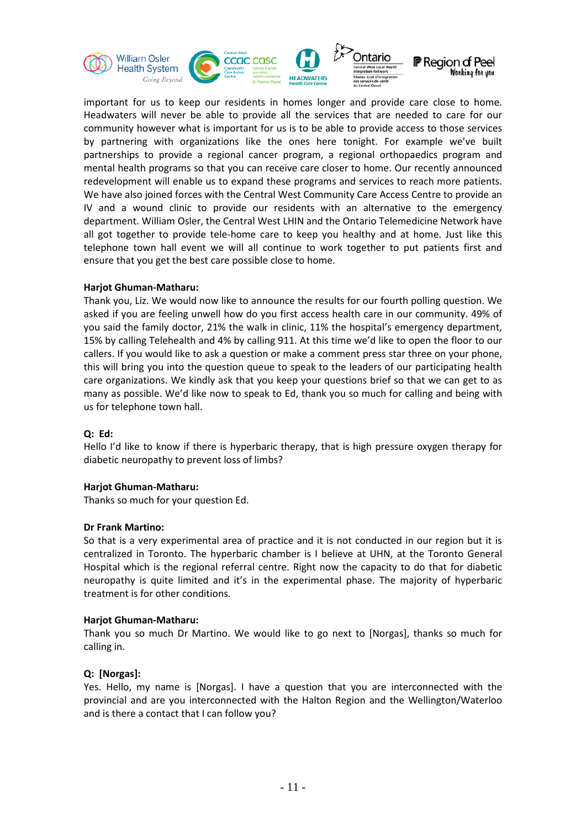

important for us to keep our residents in homes longer and provide care close to home. Headwaters will never be able to provide all the services that are needed to care for our community however what is important for us is to be able to provide access to those services by partnering with organizations like the ones here tonight. For example we've built partnerships to provide a regional cancer program, a regional orthopaedics program and mental health programs so that you can receive care closer to home. Our recently announced redevelopment will enable us to expand these programs and services to reach more patients. We have also joined forces with the Central West Community Care Access Centre to provide an IV and a wound clinic to provide our residents with an alternative to the emergency department. William Osler, the Central West LHIN and the Ontario Telemedicine Network have all got together to provide tele-home care to keep you healthy and at home. Just like this telephone town hall event we will all continue to work together to put patients first and ensure that you get the best care possible close to home.

### **Harjot Ghuman-Matharu:**

Thank you, Liz. We would now like to announce the results for our fourth polling question. We asked if you are feeling unwell how do you first access health care in our community. 49% of you said the family doctor, 21% the walk in clinic, 11% the hospital's emergency department, 15% by calling Telehealth and 4% by calling 911. At this time we'd like to open the floor to our callers. If you would like to ask a question or make a comment press star three on your phone, this will bring you into the question queue to speak to the leaders of our participating health care organizations. We kindly ask that you keep your questions brief so that we can get to as many as possible. We'd like now to speak to Ed, thank you so much for calling and being with us for telephone town hall.

### **Q: Ed:**

Hello I'd like to know if there is hyperbaric therapy, that is high pressure oxygen therapy for diabetic neuropathy to prevent loss of limbs?

### **Harjot Ghuman-Matharu:**

Thanks so much for your question Ed.

### **Dr Frank Martino:**

So that is a very experimental area of practice and it is not conducted in our region but it is centralized in Toronto. The hyperbaric chamber is I believe at UHN, at the Toronto General Hospital which is the regional referral centre. Right now the capacity to do that for diabetic neuropathy is quite limited and it's in the experimental phase. The majority of hyperbaric treatment is for other conditions.

### **Harjot Ghuman-Matharu:**

Thank you so much Dr Martino. We would like to go next to [Norgas], thanks so much for calling in.

### **Q: [Norgas]:**

Yes. Hello, my name is [Norgas]. I have a question that you are interconnected with the provincial and are you interconnected with the Halton Region and the Wellington/Waterloo and is there a contact that I can follow you?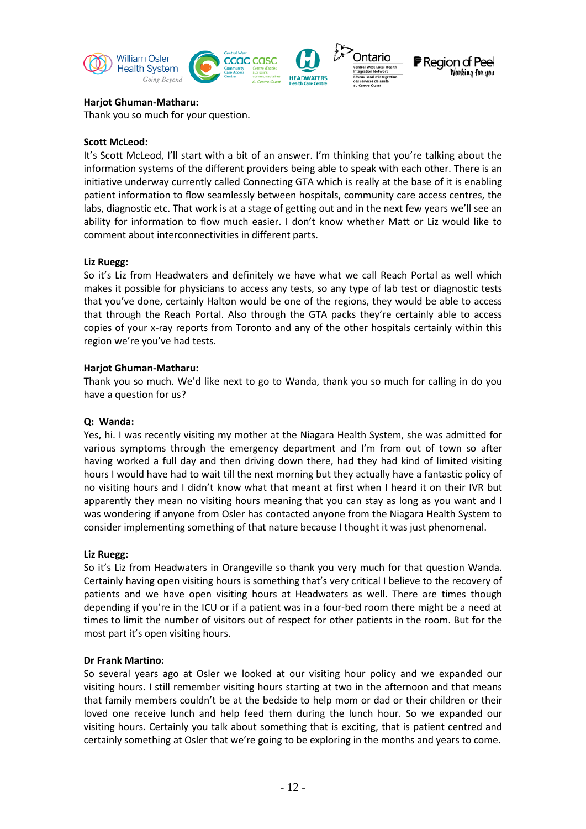

Thank you so much for your question.

#### **Scott McLeod:**

It's Scott McLeod, I'll start with a bit of an answer. I'm thinking that you're talking about the information systems of the different providers being able to speak with each other. There is an initiative underway currently called Connecting GTA which is really at the base of it is enabling patient information to flow seamlessly between hospitals, community care access centres, the labs, diagnostic etc. That work is at a stage of getting out and in the next few years we'll see an ability for information to flow much easier. I don't know whether Matt or Liz would like to comment about interconnectivities in different parts.

#### **Liz Ruegg:**

So it's Liz from Headwaters and definitely we have what we call Reach Portal as well which makes it possible for physicians to access any tests, so any type of lab test or diagnostic tests that you've done, certainly Halton would be one of the regions, they would be able to access that through the Reach Portal. Also through the GTA packs they're certainly able to access copies of your x-ray reports from Toronto and any of the other hospitals certainly within this region we're you've had tests.

### **Harjot Ghuman-Matharu:**

Thank you so much. We'd like next to go to Wanda, thank you so much for calling in do you have a question for us?

### **Q: Wanda:**

Yes, hi. I was recently visiting my mother at the Niagara Health System, she was admitted for various symptoms through the emergency department and I'm from out of town so after having worked a full day and then driving down there, had they had kind of limited visiting hours I would have had to wait till the next morning but they actually have a fantastic policy of no visiting hours and I didn't know what that meant at first when I heard it on their IVR but apparently they mean no visiting hours meaning that you can stay as long as you want and I was wondering if anyone from Osler has contacted anyone from the Niagara Health System to consider implementing something of that nature because I thought it was just phenomenal.

#### **Liz Ruegg:**

So it's Liz from Headwaters in Orangeville so thank you very much for that question Wanda. Certainly having open visiting hours is something that's very critical I believe to the recovery of patients and we have open visiting hours at Headwaters as well. There are times though depending if you're in the ICU or if a patient was in a four-bed room there might be a need at times to limit the number of visitors out of respect for other patients in the room. But for the most part it's open visiting hours.

### **Dr Frank Martino:**

So several years ago at Osler we looked at our visiting hour policy and we expanded our visiting hours. I still remember visiting hours starting at two in the afternoon and that means that family members couldn't be at the bedside to help mom or dad or their children or their loved one receive lunch and help feed them during the lunch hour. So we expanded our visiting hours. Certainly you talk about something that is exciting, that is patient centred and certainly something at Osler that we're going to be exploring in the months and years to come.